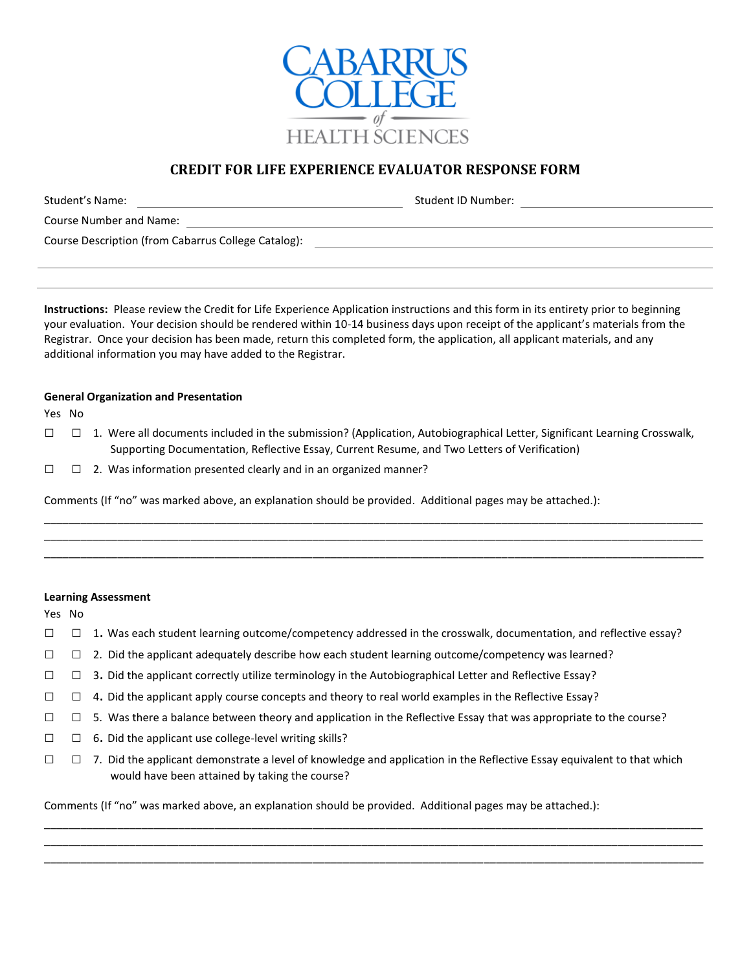

# **CREDIT FOR LIFE EXPERIENCE EVALUATOR RESPONSE FORM**

| Student's Name:                                     | Student ID Number: |
|-----------------------------------------------------|--------------------|
| Course Number and Name:                             |                    |
| Course Description (from Cabarrus College Catalog): |                    |

**Instructions:** Please review the Credit for Life Experience Application instructions and this form in its entirety prior to beginning your evaluation. Your decision should be rendered within 10-14 business days upon receipt of the applicant's materials from the Registrar. Once your decision has been made, return this completed form, the application, all applicant materials, and any additional information you may have added to the Registrar.

## **General Organization and Presentation**

Yes No

 $\Box$  1. Were all documents included in the submission? (Application, Autobiographical Letter, Significant Learning Crosswalk, Supporting Documentation, Reflective Essay, Current Resume, and Two Letters of Verification)

\_\_\_\_\_\_\_\_\_\_\_\_\_\_\_\_\_\_\_\_\_\_\_\_\_\_\_\_\_\_\_\_\_\_\_\_\_\_\_\_\_\_\_\_\_\_\_\_\_\_\_\_\_\_\_\_\_\_\_\_\_\_\_\_\_\_\_\_\_\_\_\_\_\_\_\_\_\_\_\_\_\_\_\_\_\_\_\_\_\_\_\_\_\_\_\_\_\_\_\_\_\_\_\_\_\_\_\_ \_\_\_\_\_\_\_\_\_\_\_\_\_\_\_\_\_\_\_\_\_\_\_\_\_\_\_\_\_\_\_\_\_\_\_\_\_\_\_\_\_\_\_\_\_\_\_\_\_\_\_\_\_\_\_\_\_\_\_\_\_\_\_\_\_\_\_\_\_\_\_\_\_\_\_\_\_\_\_\_\_\_\_\_\_\_\_\_\_\_\_\_\_\_\_\_\_\_\_\_\_\_\_\_\_\_\_\_ \_\_\_\_\_\_\_\_\_\_\_\_\_\_\_\_\_\_\_\_\_\_\_\_\_\_\_\_\_\_\_\_\_\_\_\_\_\_\_\_\_\_\_\_\_\_\_\_\_\_\_\_\_\_\_\_\_\_\_\_\_\_\_\_\_\_\_\_\_\_\_\_\_\_\_\_\_\_\_\_\_\_\_\_\_\_\_\_\_\_\_\_\_\_\_\_\_\_\_\_\_\_\_\_\_\_\_\_

 $\Box$   $\Box$  2. Was information presented clearly and in an organized manner?

Comments (If "no" was marked above, an explanation should be provided. Additional pages may be attached.):

## **Learning Assessment**

Yes No

- □ □ 1. Was each student learning outcome/competency addressed in the crosswalk, documentation, and reflective essay?
- $\square$  2. Did the applicant adequately describe how each student learning outcome/competency was learned?
- $\Box$  3. Did the applicant correctly utilize terminology in the Autobiographical Letter and Reflective Essay?
- $\Box$  4. Did the applicant apply course concepts and theory to real world examples in the Reflective Essay?
- $\Box$  5. Was there a balance between theory and application in the Reflective Essay that was appropriate to the course?
- $\square$   $\square$  6. Did the applicant use college-level writing skills?
- $\square$  7. Did the applicant demonstrate a level of knowledge and application in the Reflective Essay equivalent to that which would have been attained by taking the course?

\_\_\_\_\_\_\_\_\_\_\_\_\_\_\_\_\_\_\_\_\_\_\_\_\_\_\_\_\_\_\_\_\_\_\_\_\_\_\_\_\_\_\_\_\_\_\_\_\_\_\_\_\_\_\_\_\_\_\_\_\_\_\_\_\_\_\_\_\_\_\_\_\_\_\_\_\_\_\_\_\_\_\_\_\_\_\_\_\_\_\_\_\_\_\_\_\_\_\_\_\_\_\_\_\_\_\_\_ \_\_\_\_\_\_\_\_\_\_\_\_\_\_\_\_\_\_\_\_\_\_\_\_\_\_\_\_\_\_\_\_\_\_\_\_\_\_\_\_\_\_\_\_\_\_\_\_\_\_\_\_\_\_\_\_\_\_\_\_\_\_\_\_\_\_\_\_\_\_\_\_\_\_\_\_\_\_\_\_\_\_\_\_\_\_\_\_\_\_\_\_\_\_\_\_\_\_\_\_\_\_\_\_\_\_\_\_ \_\_\_\_\_\_\_\_\_\_\_\_\_\_\_\_\_\_\_\_\_\_\_\_\_\_\_\_\_\_\_\_\_\_\_\_\_\_\_\_\_\_\_\_\_\_\_\_\_\_\_\_\_\_\_\_\_\_\_\_\_\_\_\_\_\_\_\_\_\_\_\_\_\_\_\_\_\_\_\_\_\_\_\_\_\_\_\_\_\_\_\_\_\_\_\_\_\_\_\_\_\_\_\_\_\_\_\_

Comments (If "no" was marked above, an explanation should be provided. Additional pages may be attached.):